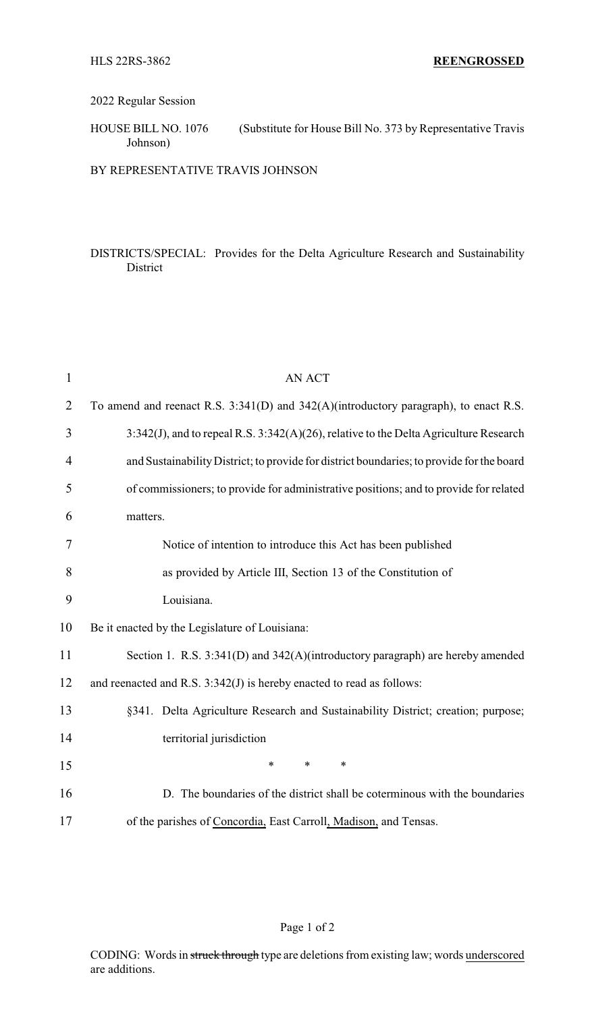## 2022 Regular Session

HOUSE BILL NO. 1076 (Substitute for House Bill No. 373 by Representative Travis Johnson)

BY REPRESENTATIVE TRAVIS JOHNSON

## DISTRICTS/SPECIAL: Provides for the Delta Agriculture Research and Sustainability District

| $\mathbf{1}$   | <b>AN ACT</b>                                                                             |
|----------------|-------------------------------------------------------------------------------------------|
| $\overline{2}$ | To amend and reenact R.S. 3:341(D) and 342(A)(introductory paragraph), to enact R.S.      |
| 3              | 3:342(J), and to repeal R.S. 3:342(A)(26), relative to the Delta Agriculture Research     |
| 4              | and Sustainability District; to provide for district boundaries; to provide for the board |
| 5              | of commissioners; to provide for administrative positions; and to provide for related     |
| 6              | matters.                                                                                  |
| 7              | Notice of intention to introduce this Act has been published                              |
| 8              | as provided by Article III, Section 13 of the Constitution of                             |
| 9              | Louisiana.                                                                                |
| 10             | Be it enacted by the Legislature of Louisiana:                                            |
| 11             | Section 1. R.S. 3:341(D) and 342(A)(introductory paragraph) are hereby amended            |
| 12             | and reenacted and R.S. 3:342(J) is hereby enacted to read as follows:                     |
| 13             | §341. Delta Agriculture Research and Sustainability District; creation; purpose;          |
| 14             | territorial jurisdiction                                                                  |
| 15             | $\ast$<br>$\ast$<br>$\ast$                                                                |
| 16             | D. The boundaries of the district shall be coterminous with the boundaries                |
| 17             | of the parishes of Concordia, East Carroll, Madison, and Tensas.                          |

## Page 1 of 2